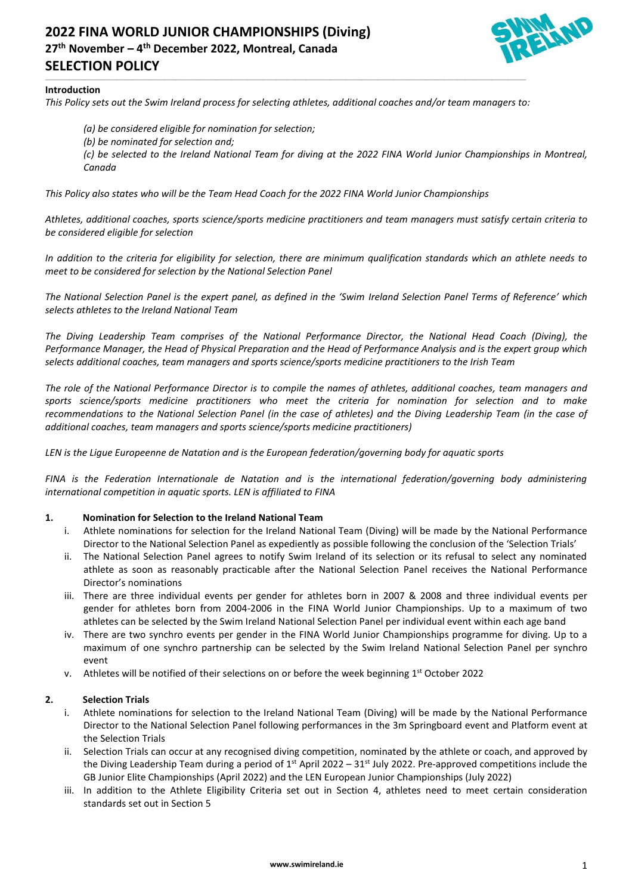# **2022 FINA WORLD JUNIOR CHAMPIONSHIPS (Diving) 27th November – 4 th December 2022, Montreal, Canada SELECTION POLICY**



#### **Introduction**

*This Policy sets out the Swim Ireland process for selecting athletes, additional coaches and/or team managers to:*

\_\_\_\_\_\_\_\_\_\_\_\_\_\_\_\_\_\_\_\_\_\_\_\_\_\_\_\_\_\_\_\_\_\_\_\_\_\_\_\_\_\_\_\_\_\_\_\_\_\_\_\_\_\_\_\_\_\_\_\_\_\_\_\_\_\_\_\_\_\_\_\_\_\_\_\_\_\_\_\_\_\_\_\_\_\_\_\_\_\_\_\_\_\_\_\_\_\_\_\_\_\_\_\_\_\_\_\_\_\_\_\_\_\_\_\_\_\_\_\_\_\_\_\_\_\_\_\_\_\_\_\_\_\_\_\_\_\_\_\_\_\_\_\_\_\_\_\_\_\_\_\_\_\_\_\_\_\_\_\_\_\_\_\_\_\_\_\_\_\_\_\_\_\_\_\_\_\_\_\_\_

*(a) be considered eligible for nomination for selection; (b) be nominated for selection and;*

*(c) be selected to the Ireland National Team for diving at the 2022 FINA World Junior Championships in Montreal, Canada* 

*This Policy also states who will be the Team Head Coach for the 2022 FINA World Junior Championships*

*Athletes, additional coaches, sports science/sports medicine practitioners and team managers must satisfy certain criteria to be considered eligible for selection*

*In addition to the criteria for eligibility for selection, there are minimum qualification standards which an athlete needs to meet to be considered for selection by the National Selection Panel*

*The National Selection Panel is the expert panel, as defined in the 'Swim Ireland Selection Panel Terms of Reference' which selects athletes to the Ireland National Team*

*The Diving Leadership Team comprises of the National Performance Director, the National Head Coach (Diving), the Performance Manager, the Head of Physical Preparation and the Head of Performance Analysis and is the expert group which selects additional coaches, team managers and sports science/sports medicine practitioners to the Irish Team*

*The role of the National Performance Director is to compile the names of athletes, additional coaches, team managers and sports science/sports medicine practitioners who meet the criteria for nomination for selection and to make recommendations to the National Selection Panel (in the case of athletes) and the Diving Leadership Team (in the case of additional coaches, team managers and sports science/sports medicine practitioners)*

*LEN is the Ligue Europeenne de Natation and is the European federation/governing body for aquatic sports*

*FINA is the Federation Internationale de Natation and is the international federation/governing body administering international competition in aquatic sports. LEN is affiliated to FINA*

#### **1. Nomination for Selection to the Ireland National Team**

- i. Athlete nominations for selection for the Ireland National Team (Diving) will be made by the National Performance Director to the National Selection Panel as expediently as possible following the conclusion of the 'Selection Trials'
- ii. The National Selection Panel agrees to notify Swim Ireland of its selection or its refusal to select any nominated athlete as soon as reasonably practicable after the National Selection Panel receives the National Performance Director's nominations
- iii. There are three individual events per gender for athletes born in 2007 & 2008 and three individual events per gender for athletes born from 2004-2006 in the FINA World Junior Championships. Up to a maximum of two athletes can be selected by the Swim Ireland National Selection Panel per individual event within each age band
- iv. There are two synchro events per gender in the FINA World Junior Championships programme for diving. Up to a maximum of one synchro partnership can be selected by the Swim Ireland National Selection Panel per synchro event
- v. Athletes will be notified of their selections on or before the week beginning 1st October 2022

### **2. Selection Trials**

- i. Athlete nominations for selection to the Ireland National Team (Diving) will be made by the National Performance Director to the National Selection Panel following performances in the 3m Springboard event and Platform event at the Selection Trials
- ii. Selection Trials can occur at any recognised diving competition, nominated by the athlete or coach, and approved by the Diving Leadership Team during a period of  $1^{st}$  April 2022 – 31 $^{st}$  July 2022. Pre-approved competitions include the GB Junior Elite Championships (April 2022) and the LEN European Junior Championships (July 2022)
- iii. In addition to the Athlete Eligibility Criteria set out in Section 4, athletes need to meet certain consideration standards set out in Section 5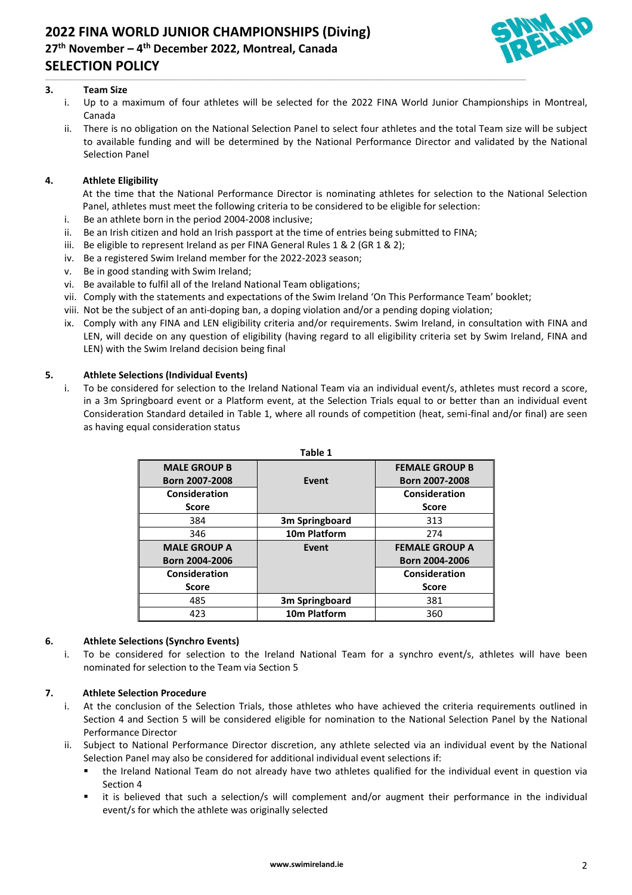

## **3. Team Size**

i. Up to a maximum of four athletes will be selected for the 2022 FINA World Junior Championships in Montreal, Canada

\_\_\_\_\_\_\_\_\_\_\_\_\_\_\_\_\_\_\_\_\_\_\_\_\_\_\_\_\_\_\_\_\_\_\_\_\_\_\_\_\_\_\_\_\_\_\_\_\_\_\_\_\_\_\_\_\_\_\_\_\_\_\_\_\_\_\_\_\_\_\_\_\_\_\_\_\_\_\_\_\_\_\_\_\_\_\_\_\_\_\_\_\_\_\_\_\_\_\_\_\_\_\_\_\_\_\_\_\_\_\_\_\_\_\_\_\_\_\_\_\_\_\_\_\_\_\_\_\_\_\_\_\_\_\_\_\_\_\_\_\_\_\_\_\_\_\_\_\_\_\_\_\_\_\_\_\_\_\_\_\_\_\_\_\_\_\_\_\_\_\_\_\_\_\_\_\_\_\_\_\_

ii. There is no obligation on the National Selection Panel to select four athletes and the total Team size will be subject to available funding and will be determined by the National Performance Director and validated by the National Selection Panel

## **4. Athlete Eligibility**

At the time that the National Performance Director is nominating athletes for selection to the National Selection Panel, athletes must meet the following criteria to be considered to be eligible for selection:

- i. Be an athlete born in the period 2004-2008 inclusive;
- ii. Be an Irish citizen and hold an Irish passport at the time of entries being submitted to FINA;
- iii. Be eligible to represent Ireland as per FINA General Rules 1 & 2 (GR 1 & 2);
- iv. Be a registered Swim Ireland member for the 2022-2023 season;
- v. Be in good standing with Swim Ireland;
- vi. Be available to fulfil all of the Ireland National Team obligations;
- vii. Comply with the statements and expectations of the Swim Ireland 'On This Performance Team' booklet;
- viii. Not be the subject of an anti-doping ban, a doping violation and/or a pending doping violation;
- ix. Comply with any FINA and LEN eligibility criteria and/or requirements. Swim Ireland, in consultation with FINA and LEN, will decide on any question of eligibility (having regard to all eligibility criteria set by Swim Ireland, FINA and LEN) with the Swim Ireland decision being final

## **5. Athlete Selections (Individual Events)**

i. To be considered for selection to the Ireland National Team via an individual event/s, athletes must record a score, in a 3m Springboard event or a Platform event, at the Selection Trials equal to or better than an individual event Consideration Standard detailed in Table 1, where all rounds of competition (heat, semi-final and/or final) are seen as having equal consideration status

| Table 1             |                            |                       |
|---------------------|----------------------------|-----------------------|
| <b>MALE GROUP B</b> |                            | <b>FEMALE GROUP B</b> |
| Born 2007-2008      | Event                      | Born 2007-2008        |
| Consideration       |                            | Consideration         |
| <b>Score</b>        |                            | <b>Score</b>          |
| 384                 | 3 <sub>m</sub> Springboard | 313                   |
| 346                 | 10m Platform               | 274                   |
| <b>MALE GROUP A</b> | Event                      | <b>FEMALE GROUP A</b> |
| Born 2004-2006      |                            | Born 2004-2006        |
| Consideration       |                            | Consideration         |
| <b>Score</b>        |                            | <b>Score</b>          |
| 485                 | 3m Springboard             | 381                   |
| 423                 | 10m Platform               | 360                   |

### **6. Athlete Selections (Synchro Events)**

i. To be considered for selection to the Ireland National Team for a synchro event/s, athletes will have been nominated for selection to the Team via Section 5

## **7. Athlete Selection Procedure**

- i. At the conclusion of the Selection Trials, those athletes who have achieved the criteria requirements outlined in Section 4 and Section 5 will be considered eligible for nomination to the National Selection Panel by the National Performance Director
- Subject to National Performance Director discretion, any athlete selected via an individual event by the National Selection Panel may also be considered for additional individual event selections if:
	- the Ireland National Team do not already have two athletes qualified for the individual event in question via Section 4
	- it is believed that such a selection/s will complement and/or augment their performance in the individual event/s for which the athlete was originally selected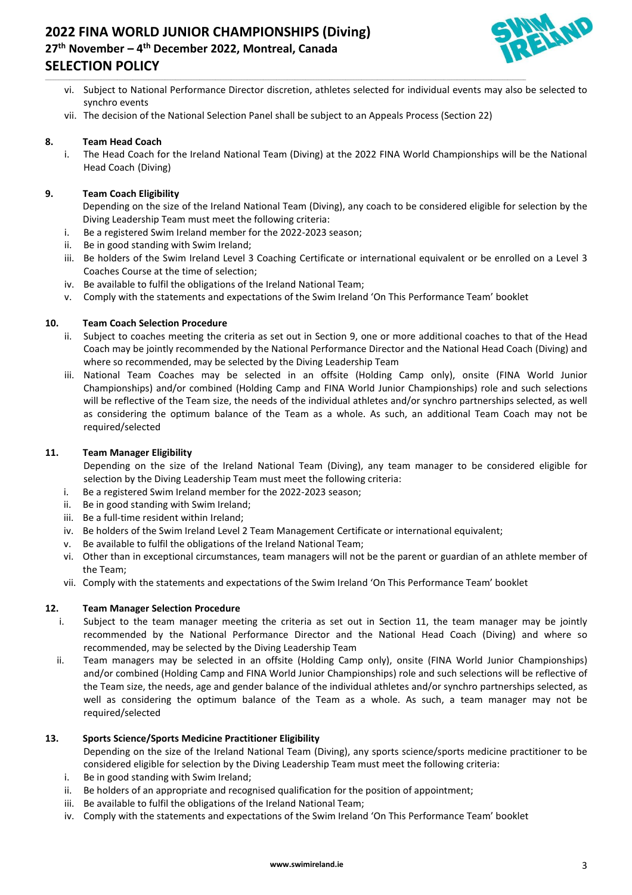

- vi. Subject to National Performance Director discretion, athletes selected for individual events may also be selected to synchro events
- vii. The decision of the National Selection Panel shall be subject to an Appeals Process (Section 22)

\_\_\_\_\_\_\_\_\_\_\_\_\_\_\_\_\_\_\_\_\_\_\_\_\_\_\_\_\_\_\_\_\_\_\_\_\_\_\_\_\_\_\_\_\_\_\_\_\_\_\_\_\_\_\_\_\_\_\_\_\_\_\_\_\_\_\_\_\_\_\_\_\_\_\_\_\_\_\_\_\_\_\_\_\_\_\_\_\_\_\_\_\_\_\_\_\_\_\_\_\_\_\_\_\_\_\_\_\_\_\_\_\_\_\_\_\_\_\_\_\_\_\_\_\_\_\_\_\_\_\_\_\_\_\_\_\_\_\_\_\_\_\_\_\_\_\_\_\_\_\_\_\_\_\_\_\_\_\_\_\_\_\_\_\_\_\_\_\_\_\_\_\_\_\_\_\_\_\_\_\_

### **8. Team Head Coach**

i. The Head Coach for the Ireland National Team (Diving) at the 2022 FINA World Championships will be the National Head Coach (Diving)

#### **9. Team Coach Eligibility**

Depending on the size of the Ireland National Team (Diving), any coach to be considered eligible for selection by the Diving Leadership Team must meet the following criteria:

- i. Be a registered Swim Ireland member for the 2022-2023 season;
- ii. Be in good standing with Swim Ireland;
- iii. Be holders of the Swim Ireland Level 3 Coaching Certificate or international equivalent or be enrolled on a Level 3 Coaches Course at the time of selection;
- iv. Be available to fulfil the obligations of the Ireland National Team;
- v. Comply with the statements and expectations of the Swim Ireland 'On This Performance Team' booklet

#### **10. Team Coach Selection Procedure**

- ii. Subject to coaches meeting the criteria as set out in Section 9, one or more additional coaches to that of the Head Coach may be jointly recommended by the National Performance Director and the National Head Coach (Diving) and where so recommended, may be selected by the Diving Leadership Team
- iii. National Team Coaches may be selected in an offsite (Holding Camp only), onsite (FINA World Junior Championships) and/or combined (Holding Camp and FINA World Junior Championships) role and such selections will be reflective of the Team size, the needs of the individual athletes and/or synchro partnerships selected, as well as considering the optimum balance of the Team as a whole. As such, an additional Team Coach may not be required/selected

#### **11. Team Manager Eligibility**

Depending on the size of the Ireland National Team (Diving), any team manager to be considered eligible for selection by the Diving Leadership Team must meet the following criteria:

- i. Be a registered Swim Ireland member for the 2022-2023 season;
- ii. Be in good standing with Swim Ireland;
- iii. Be a full-time resident within Ireland;
- iv. Be holders of the Swim Ireland Level 2 Team Management Certificate or international equivalent;
- v. Be available to fulfil the obligations of the Ireland National Team;
- vi. Other than in exceptional circumstances, team managers will not be the parent or guardian of an athlete member of the Team;
- vii. Comply with the statements and expectations of the Swim Ireland 'On This Performance Team' booklet

#### **12. Team Manager Selection Procedure**

- i. Subject to the team manager meeting the criteria as set out in Section 11, the team manager may be jointly recommended by the National Performance Director and the National Head Coach (Diving) and where so recommended, may be selected by the Diving Leadership Team
- ii. Team managers may be selected in an offsite (Holding Camp only), onsite (FINA World Junior Championships) and/or combined (Holding Camp and FINA World Junior Championships) role and such selections will be reflective of the Team size, the needs, age and gender balance of the individual athletes and/or synchro partnerships selected, as well as considering the optimum balance of the Team as a whole. As such, a team manager may not be required/selected

### **13. Sports Science/Sports Medicine Practitioner Eligibility**

Depending on the size of the Ireland National Team (Diving), any sports science/sports medicine practitioner to be considered eligible for selection by the Diving Leadership Team must meet the following criteria:

- i. Be in good standing with Swim Ireland;
- ii. Be holders of an appropriate and recognised qualification for the position of appointment;
- iii. Be available to fulfil the obligations of the Ireland National Team;
- iv. Comply with the statements and expectations of the Swim Ireland 'On This Performance Team' booklet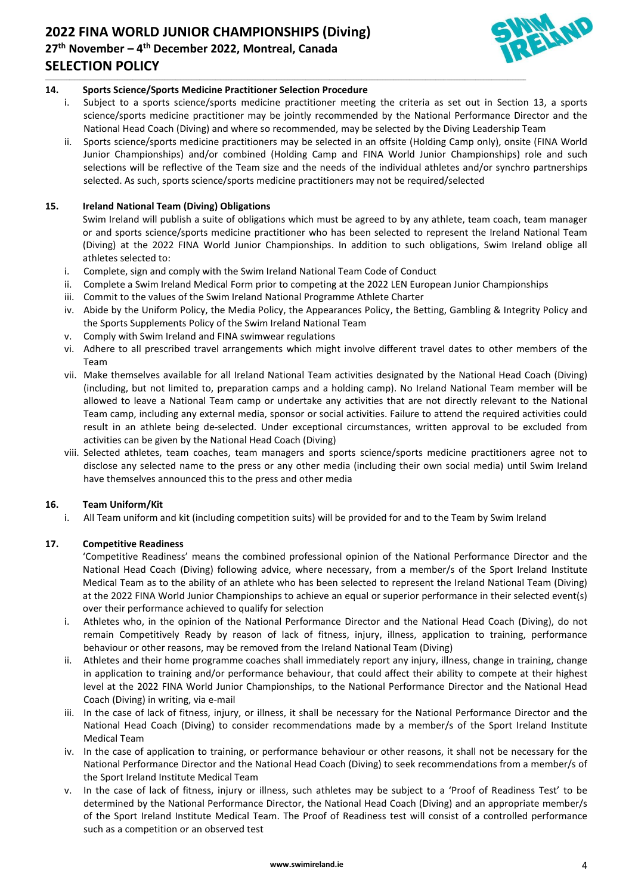# **2022 FINA WORLD JUNIOR CHAMPIONSHIPS (Diving) 27th November – 4 th December 2022, Montreal, Canada SELECTION POLICY**



## **14. Sports Science/Sports Medicine Practitioner Selection Procedure**

i. Subject to a sports science/sports medicine practitioner meeting the criteria as set out in Section 13, a sports science/sports medicine practitioner may be jointly recommended by the National Performance Director and the National Head Coach (Diving) and where so recommended, may be selected by the Diving Leadership Team

\_\_\_\_\_\_\_\_\_\_\_\_\_\_\_\_\_\_\_\_\_\_\_\_\_\_\_\_\_\_\_\_\_\_\_\_\_\_\_\_\_\_\_\_\_\_\_\_\_\_\_\_\_\_\_\_\_\_\_\_\_\_\_\_\_\_\_\_\_\_\_\_\_\_\_\_\_\_\_\_\_\_\_\_\_\_\_\_\_\_\_\_\_\_\_\_\_\_\_\_\_\_\_\_\_\_\_\_\_\_\_\_\_\_\_\_\_\_\_\_\_\_\_\_\_\_\_\_\_\_\_\_\_\_\_\_\_\_\_\_\_\_\_\_\_\_\_\_\_\_\_\_\_\_\_\_\_\_\_\_\_\_\_\_\_\_\_\_\_\_\_\_\_\_\_\_\_\_\_\_\_

ii. Sports science/sports medicine practitioners may be selected in an offsite (Holding Camp only), onsite (FINA World Junior Championships) and/or combined (Holding Camp and FINA World Junior Championships) role and such selections will be reflective of the Team size and the needs of the individual athletes and/or synchro partnerships selected. As such, sports science/sports medicine practitioners may not be required/selected

## **15. Ireland National Team (Diving) Obligations**

Swim Ireland will publish a suite of obligations which must be agreed to by any athlete, team coach, team manager or and sports science/sports medicine practitioner who has been selected to represent the Ireland National Team (Diving) at the 2022 FINA World Junior Championships. In addition to such obligations, Swim Ireland oblige all athletes selected to:

- i. Complete, sign and comply with the Swim Ireland National Team Code of Conduct
- ii. Complete a Swim Ireland Medical Form prior to competing at the 2022 LEN European Junior Championships
- iii. Commit to the values of the Swim Ireland National Programme Athlete Charter
- iv. Abide by the Uniform Policy, the Media Policy, the Appearances Policy, the Betting, Gambling & Integrity Policy and the Sports Supplements Policy of the Swim Ireland National Team
- v. Comply with Swim Ireland and FINA swimwear regulations
- vi. Adhere to all prescribed travel arrangements which might involve different travel dates to other members of the Team
- vii. Make themselves available for all Ireland National Team activities designated by the National Head Coach (Diving) (including, but not limited to, preparation camps and a holding camp). No Ireland National Team member will be allowed to leave a National Team camp or undertake any activities that are not directly relevant to the National Team camp, including any external media, sponsor or social activities. Failure to attend the required activities could result in an athlete being de-selected. Under exceptional circumstances, written approval to be excluded from activities can be given by the National Head Coach (Diving)
- viii. Selected athletes, team coaches, team managers and sports science/sports medicine practitioners agree not to disclose any selected name to the press or any other media (including their own social media) until Swim Ireland have themselves announced this to the press and other media

### **16. Team Uniform/Kit**

i. All Team uniform and kit (including competition suits) will be provided for and to the Team by Swim Ireland

## **17. Competitive Readiness**

'Competitive Readiness' means the combined professional opinion of the National Performance Director and the National Head Coach (Diving) following advice, where necessary, from a member/s of the Sport Ireland Institute Medical Team as to the ability of an athlete who has been selected to represent the Ireland National Team (Diving) at the 2022 FINA World Junior Championships to achieve an equal or superior performance in their selected event(s) over their performance achieved to qualify for selection

- i. Athletes who, in the opinion of the National Performance Director and the National Head Coach (Diving), do not remain Competitively Ready by reason of lack of fitness, injury, illness, application to training, performance behaviour or other reasons, may be removed from the Ireland National Team (Diving)
- ii. Athletes and their home programme coaches shall immediately report any injury, illness, change in training, change in application to training and/or performance behaviour, that could affect their ability to compete at their highest level at the 2022 FINA World Junior Championships, to the National Performance Director and the National Head Coach (Diving) in writing, via e-mail
- iii. In the case of lack of fitness, injury, or illness, it shall be necessary for the National Performance Director and the National Head Coach (Diving) to consider recommendations made by a member/s of the Sport Ireland Institute Medical Team
- iv. In the case of application to training, or performance behaviour or other reasons, it shall not be necessary for the National Performance Director and the National Head Coach (Diving) to seek recommendations from a member/s of the Sport Ireland Institute Medical Team
- v. In the case of lack of fitness, injury or illness, such athletes may be subject to a 'Proof of Readiness Test' to be determined by the National Performance Director, the National Head Coach (Diving) and an appropriate member/s of the Sport Ireland Institute Medical Team. The Proof of Readiness test will consist of a controlled performance such as a competition or an observed test